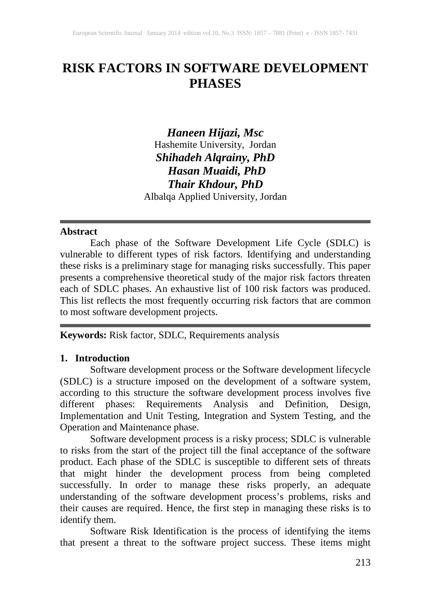# **RISK FACTORS IN SOFTWARE DEVELOPMENT PHASES**

*Haneen Hijazi, Msc* Hashemite University, Jordan *Shihadeh Alqrainy, PhD Hasan Muaidi, PhD Thair Khdour, PhD* Albalqa Applied University, Jordan

#### **Abstract**

Each phase of the Software Development Life Cycle (SDLC) is vulnerable to different types of risk factors. Identifying and understanding these risks is a preliminary stage for managing risks successfully. This paper presents a comprehensive theoretical study of the major risk factors threaten each of SDLC phases. An exhaustive list of 100 risk factors was produced. This list reflects the most frequently occurring risk factors that are common to most software development projects.

**Keywords:** Risk factor, SDLC, Requirements analysis

#### **1. Introduction**

Software development process or the Software development lifecycle (SDLC) is a structure imposed on the development of a software system, according to this structure the software development process involves five different phases: Requirements Analysis and Definition, Design, Implementation and Unit Testing, Integration and System Testing, and the Operation and Maintenance phase.

Software development process is a risky process; SDLC is vulnerable to risks from the start of the project till the final acceptance of the software product. Each phase of the SDLC is susceptible to different sets of threats that might hinder the development process from being completed successfully. In order to manage these risks properly, an adequate understanding of the software development process's problems, risks and their causes are required. Hence, the first step in managing these risks is to identify them.

Software Risk Identification is the process of identifying the items that present a threat to the software project success. These items might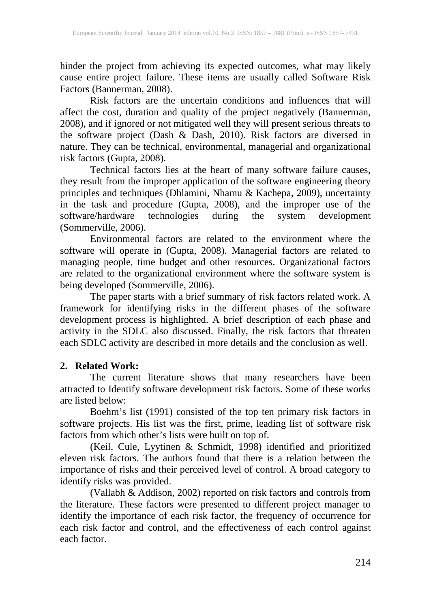hinder the project from achieving its expected outcomes, what may likely cause entire project failure. These items are usually called Software Risk Factors (Bannerman, 2008).

Risk factors are the uncertain conditions and influences that will affect the cost, duration and quality of the project negatively (Bannerman, 2008), and if ignored or not mitigated well they will present serious threats to the software project (Dash & Dash, 2010). Risk factors are diversed in nature. They can be technical, environmental, managerial and organizational risk factors (Gupta, 2008).

Technical factors lies at the heart of many software failure causes, they result from the improper application of the software engineering theory principles and techniques (Dhlamini, Nhamu & Kachepa, 2009), uncertainty in the task and procedure (Gupta, 2008), and the improper use of the software/hardware technologies during the system development (Sommerville, 2006).

Environmental factors are related to the environment where the software will operate in (Gupta, 2008). Managerial factors are related to managing people, time budget and other resources. Organizational factors are related to the organizational environment where the software system is being developed (Sommerville, 2006).

The paper starts with a brief summary of risk factors related work. A framework for identifying risks in the different phases of the software development process is highlighted. A brief description of each phase and activity in the SDLC also discussed. Finally, the risk factors that threaten each SDLC activity are described in more details and the conclusion as well.

## **2. Related Work:**

The current literature shows that many researchers have been attracted to Identify software development risk factors. Some of these works are listed below:

Boehm's list (1991) consisted of the top ten primary risk factors in software projects. His list was the first, prime, leading list of software risk factors from which other's lists were built on top of.

(Keil, Cule, Lyytinen & Schmidt, 1998) identified and prioritized eleven risk factors. The authors found that there is a relation between the importance of risks and their perceived level of control. A broad category to identify risks was provided.

(Vallabh & Addison, 2002) reported on risk factors and controls from the literature. These factors were presented to different project manager to identify the importance of each risk factor, the frequency of occurrence for each risk factor and control, and the effectiveness of each control against each factor.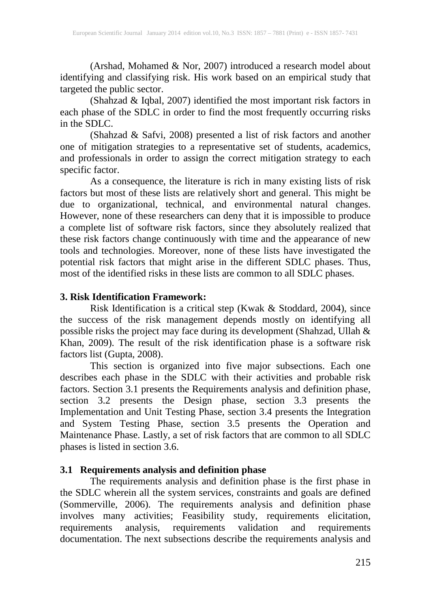(Arshad, Mohamed & Nor, 2007) introduced a research model about identifying and classifying risk. His work based on an empirical study that targeted the public sector.

(Shahzad & Iqbal, 2007) identified the most important risk factors in each phase of the SDLC in order to find the most frequently occurring risks in the SDLC.

(Shahzad & Safvi, 2008) presented a list of risk factors and another one of mitigation strategies to a representative set of students, academics, and professionals in order to assign the correct mitigation strategy to each specific factor.

As a consequence, the literature is rich in many existing lists of risk factors but most of these lists are relatively short and general. This might be due to organizational, technical, and environmental natural changes. However, none of these researchers can deny that it is impossible to produce a complete list of software risk factors, since they absolutely realized that these risk factors change continuously with time and the appearance of new tools and technologies. Moreover, none of these lists have investigated the potential risk factors that might arise in the different SDLC phases. Thus, most of the identified risks in these lists are common to all SDLC phases.

#### **3. Risk Identification Framework:**

Risk Identification is a critical step (Kwak & Stoddard, 2004), since the success of the risk management depends mostly on identifying all possible risks the project may face during its development (Shahzad, Ullah & Khan, 2009). The result of the risk identification phase is a software risk factors list (Gupta, 2008).

This section is organized into five major subsections. Each one describes each phase in the SDLC with their activities and probable risk factors. Section 3.1 presents the Requirements analysis and definition phase, section 3.2 presents the Design phase, section 3.3 presents the Implementation and Unit Testing Phase, section 3.4 presents the Integration and System Testing Phase, section 3.5 presents the Operation and Maintenance Phase. Lastly, a set of risk factors that are common to all SDLC phases is listed in section 3.6.

#### **3.1 Requirements analysis and definition phase**

The requirements analysis and definition phase is the first phase in the SDLC wherein all the system services, constraints and goals are defined (Sommerville, 2006). The requirements analysis and definition phase involves many activities; Feasibility study, requirements elicitation, requirements analysis, requirements validation and requirements documentation. The next subsections describe the requirements analysis and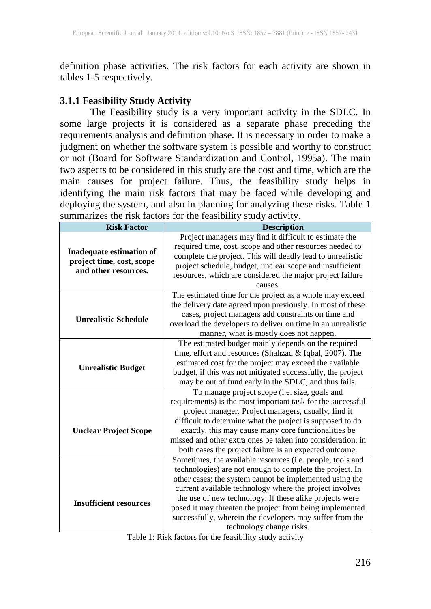definition phase activities. The risk factors for each activity are shown in tables 1-5 respectively.

## **3.1.1 Feasibility Study Activity**

The Feasibility study is a very important activity in the SDLC. In some large projects it is considered as a separate phase preceding the requirements analysis and definition phase. It is necessary in order to make a judgment on whether the software system is possible and worthy to construct or not (Board for Software Standardization and Control, 1995a). The main two aspects to be considered in this study are the cost and time, which are the main causes for project failure. Thus, the feasibility study helps in identifying the main risk factors that may be faced while developing and deploying the system, and also in planning for analyzing these risks. Table 1 summarizes the risk factors for the feasibility study activity.

| <b>Risk Factor</b>              | <b>Description</b>                                           |  |  |  |  |  |
|---------------------------------|--------------------------------------------------------------|--|--|--|--|--|
|                                 | Project managers may find it difficult to estimate the       |  |  |  |  |  |
| <b>Inadequate estimation of</b> | required time, cost, scope and other resources needed to     |  |  |  |  |  |
| project time, cost, scope       | complete the project. This will deadly lead to unrealistic   |  |  |  |  |  |
| and other resources.            | project schedule, budget, unclear scope and insufficient     |  |  |  |  |  |
|                                 | resources, which are considered the major project failure    |  |  |  |  |  |
|                                 | causes.                                                      |  |  |  |  |  |
|                                 | The estimated time for the project as a whole may exceed     |  |  |  |  |  |
|                                 | the delivery date agreed upon previously. In most of these   |  |  |  |  |  |
| <b>Unrealistic Schedule</b>     | cases, project managers add constraints on time and          |  |  |  |  |  |
|                                 | overload the developers to deliver on time in an unrealistic |  |  |  |  |  |
|                                 | manner, what is mostly does not happen.                      |  |  |  |  |  |
|                                 | The estimated budget mainly depends on the required          |  |  |  |  |  |
|                                 | time, effort and resources (Shahzad & Iqbal, 2007). The      |  |  |  |  |  |
| <b>Unrealistic Budget</b>       | estimated cost for the project may exceed the available      |  |  |  |  |  |
|                                 | budget, if this was not mitigated successfully, the project  |  |  |  |  |  |
|                                 | may be out of fund early in the SDLC, and thus fails.        |  |  |  |  |  |
|                                 | To manage project scope (i.e. size, goals and                |  |  |  |  |  |
|                                 | requirements) is the most important task for the successful  |  |  |  |  |  |
|                                 | project manager. Project managers, usually, find it          |  |  |  |  |  |
|                                 | difficult to determine what the project is supposed to do    |  |  |  |  |  |
| <b>Unclear Project Scope</b>    | exactly, this may cause many core functionalities be         |  |  |  |  |  |
|                                 | missed and other extra ones be taken into consideration, in  |  |  |  |  |  |
|                                 | both cases the project failure is an expected outcome.       |  |  |  |  |  |
|                                 | Sometimes, the available resources (i.e. people, tools and   |  |  |  |  |  |
|                                 | technologies) are not enough to complete the project. In     |  |  |  |  |  |
|                                 | other cases; the system cannot be implemented using the      |  |  |  |  |  |
|                                 | current available technology where the project involves      |  |  |  |  |  |
| <b>Insufficient resources</b>   | the use of new technology. If these alike projects were      |  |  |  |  |  |
|                                 | posed it may threaten the project from being implemented     |  |  |  |  |  |
|                                 | successfully, wherein the developers may suffer from the     |  |  |  |  |  |
|                                 | technology change risks.                                     |  |  |  |  |  |

Table 1: Risk factors for the feasibility study activity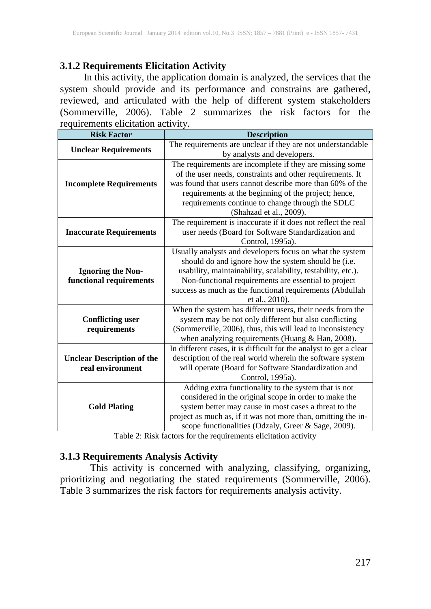# **3.1.2 Requirements Elicitation Activity**

In this activity, the application domain is analyzed, the services that the system should provide and its performance and constrains are gathered, reviewed, and articulated with the help of different system stakeholders (Sommerville, 2006). Table 2 summarizes the risk factors for the requirements elicitation activity.

| <b>Risk Factor</b>                | <b>Description</b>                                                 |  |  |  |  |  |
|-----------------------------------|--------------------------------------------------------------------|--|--|--|--|--|
|                                   | The requirements are unclear if they are not understandable        |  |  |  |  |  |
| <b>Unclear Requirements</b>       | by analysts and developers.                                        |  |  |  |  |  |
|                                   | The requirements are incomplete if they are missing some           |  |  |  |  |  |
|                                   | of the user needs, constraints and other requirements. It          |  |  |  |  |  |
| <b>Incomplete Requirements</b>    | was found that users cannot describe more than 60% of the          |  |  |  |  |  |
|                                   | requirements at the beginning of the project; hence,               |  |  |  |  |  |
|                                   | requirements continue to change through the SDLC                   |  |  |  |  |  |
|                                   | (Shahzad et al., 2009).                                            |  |  |  |  |  |
|                                   | The requirement is inaccurate if it does not reflect the real      |  |  |  |  |  |
| <b>Inaccurate Requirements</b>    | user needs (Board for Software Standardization and                 |  |  |  |  |  |
|                                   | Control, 1995a).                                                   |  |  |  |  |  |
|                                   | Usually analysts and developers focus on what the system           |  |  |  |  |  |
|                                   | should do and ignore how the system should be (i.e.                |  |  |  |  |  |
| <b>Ignoring the Non-</b>          | usability, maintainability, scalability, testability, etc.).       |  |  |  |  |  |
| functional requirements           | Non-functional requirements are essential to project               |  |  |  |  |  |
|                                   | success as much as the functional requirements (Abdullah           |  |  |  |  |  |
|                                   | et al., 2010).                                                     |  |  |  |  |  |
|                                   | When the system has different users, their needs from the          |  |  |  |  |  |
| <b>Conflicting user</b>           | system may be not only different but also conflicting              |  |  |  |  |  |
| requirements                      | (Sommerville, 2006), thus, this will lead to inconsistency         |  |  |  |  |  |
|                                   | when analyzing requirements (Huang $&$ Han, 2008).                 |  |  |  |  |  |
|                                   | In different cases, it is difficult for the analyst to get a clear |  |  |  |  |  |
| <b>Unclear Description of the</b> | description of the real world wherein the software system          |  |  |  |  |  |
| real environment                  | will operate (Board for Software Standardization and               |  |  |  |  |  |
|                                   | Control, 1995a).                                                   |  |  |  |  |  |
|                                   | Adding extra functionality to the system that is not               |  |  |  |  |  |
|                                   | considered in the original scope in order to make the              |  |  |  |  |  |
| <b>Gold Plating</b>               | system better may cause in most cases a threat to the              |  |  |  |  |  |
|                                   | project as much as, if it was not more than, omitting the in-      |  |  |  |  |  |
|                                   | scope functionalities (Odzaly, Greer & Sage, 2009).                |  |  |  |  |  |

Table 2: Risk factors for the requirements elicitation activity

## **3.1.3 Requirements Analysis Activity**

This activity is concerned with analyzing, classifying, organizing, prioritizing and negotiating the stated requirements (Sommerville, 2006). Table 3 summarizes the risk factors for requirements analysis activity.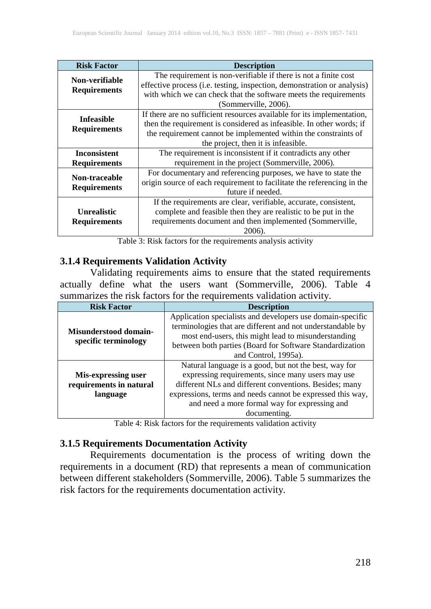| <b>Risk Factor</b>   | <b>Description</b>                                                      |  |  |  |  |  |
|----------------------|-------------------------------------------------------------------------|--|--|--|--|--|
| Non-verifiable       | The requirement is non-verifiable if there is not a finite cost         |  |  |  |  |  |
| <b>Requirements</b>  | effective process (i.e. testing, inspection, demonstration or analysis) |  |  |  |  |  |
|                      | with which we can check that the software meets the requirements        |  |  |  |  |  |
|                      | (Sommerville, 2006).                                                    |  |  |  |  |  |
| <b>Infeasible</b>    | If there are no sufficient resources available for its implementation,  |  |  |  |  |  |
|                      | then the requirement is considered as infeasible. In other words; if    |  |  |  |  |  |
| <b>Requirements</b>  | the requirement cannot be implemented within the constraints of         |  |  |  |  |  |
|                      | the project, then it is infeasible.                                     |  |  |  |  |  |
| <b>Inconsistent</b>  | The requirement is inconsistent if it contradicts any other             |  |  |  |  |  |
| <b>Requirements</b>  | requirement in the project (Sommerville, 2006).                         |  |  |  |  |  |
| <b>Non-traceable</b> | For documentary and referencing purposes, we have to state the          |  |  |  |  |  |
| <b>Requirements</b>  | origin source of each requirement to facilitate the referencing in the  |  |  |  |  |  |
|                      | future if needed.                                                       |  |  |  |  |  |
|                      | If the requirements are clear, verifiable, accurate, consistent,        |  |  |  |  |  |
| <b>Unrealistic</b>   | complete and feasible then they are realistic to be put in the          |  |  |  |  |  |
| <b>Requirements</b>  | requirements document and then implemented (Sommerville,                |  |  |  |  |  |
|                      | 2006)                                                                   |  |  |  |  |  |

Table 3: Risk factors for the requirements analysis activity

#### **3.1.4 Requirements Validation Activity**

Validating requirements aims to ensure that the stated requirements actually define what the users want (Sommerville, 2006). Table 4 summarizes the risk factors for the requirements validation activity.

| <b>Risk Factor</b>           | <b>Description</b>                                         |  |  |  |  |  |
|------------------------------|------------------------------------------------------------|--|--|--|--|--|
|                              | Application specialists and developers use domain-specific |  |  |  |  |  |
| <b>Misunderstood domain-</b> | terminologies that are different and not understandable by |  |  |  |  |  |
|                              | most end-users, this might lead to misunderstanding        |  |  |  |  |  |
| specific terminology         | between both parties (Board for Software Standardization   |  |  |  |  |  |
|                              | and Control, 1995a).                                       |  |  |  |  |  |
|                              | Natural language is a good, but not the best, way for      |  |  |  |  |  |
| Mis-expressing user          | expressing requirements, since many users may use          |  |  |  |  |  |
| requirements in natural      | different NLs and different conventions. Besides; many     |  |  |  |  |  |
| language                     | expressions, terms and needs cannot be expressed this way, |  |  |  |  |  |
|                              | and need a more formal way for expressing and              |  |  |  |  |  |
|                              | documenting.                                               |  |  |  |  |  |

Table 4: Risk factors for the requirements validation activity

## **3.1.5 Requirements Documentation Activity**

Requirements documentation is the process of writing down the requirements in a document (RD) that represents a mean of communication between different stakeholders (Sommerville, 2006). Table 5 summarizes the risk factors for the requirements documentation activity.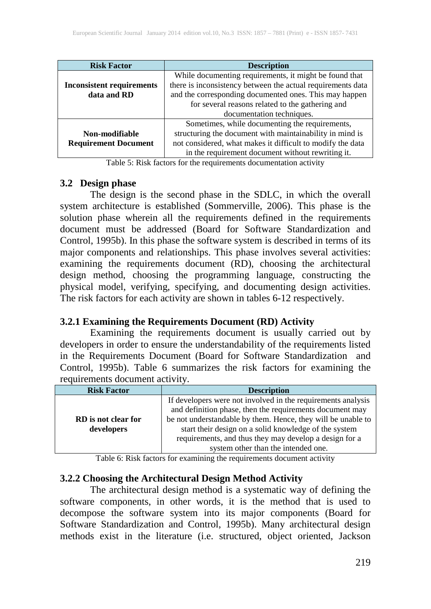| <b>Risk Factor</b>               | <b>Description</b>                                          |  |  |  |  |  |  |  |
|----------------------------------|-------------------------------------------------------------|--|--|--|--|--|--|--|
|                                  | While documenting requirements, it might be found that      |  |  |  |  |  |  |  |
| <b>Inconsistent requirements</b> | there is inconsistency between the actual requirements data |  |  |  |  |  |  |  |
| data and RD                      | and the corresponding documented ones. This may happen      |  |  |  |  |  |  |  |
|                                  | for several reasons related to the gathering and            |  |  |  |  |  |  |  |
|                                  | documentation techniques.                                   |  |  |  |  |  |  |  |
|                                  | Sometimes, while documenting the requirements,              |  |  |  |  |  |  |  |
| Non-modifiable                   | structuring the document with maintainability in mind is    |  |  |  |  |  |  |  |
| <b>Requirement Document</b>      | not considered, what makes it difficult to modify the data  |  |  |  |  |  |  |  |
|                                  | in the requirement document without rewriting it.           |  |  |  |  |  |  |  |

Table 5: Risk factors for the requirements documentation activity

#### **3.2 Design phase**

The design is the second phase in the SDLC, in which the overall system architecture is established (Sommerville, 2006). This phase is the solution phase wherein all the requirements defined in the requirements document must be addressed (Board for Software Standardization and Control, 1995b). In this phase the software system is described in terms of its major components and relationships. This phase involves several activities: examining the requirements document (RD), choosing the architectural design method, choosing the programming language, constructing the physical model, verifying, specifying, and documenting design activities. The risk factors for each activity are shown in tables 6-12 respectively.

## **3.2.1 Examining the Requirements Document (RD) Activity**

Examining the requirements document is usually carried out by developers in order to ensure the understandability of the requirements listed in the Requirements Document (Board for Software Standardization and Control, 1995b). Table 6 summarizes the risk factors for examining the requirements document activity.

| <b>Risk Factor</b>  | <b>Description</b>                                           |  |  |  |  |  |  |  |
|---------------------|--------------------------------------------------------------|--|--|--|--|--|--|--|
|                     | If developers were not involved in the requirements analysis |  |  |  |  |  |  |  |
|                     | and definition phase, then the requirements document may     |  |  |  |  |  |  |  |
| RD is not clear for | be not understandable by them. Hence, they will be unable to |  |  |  |  |  |  |  |
| developers          | start their design on a solid knowledge of the system        |  |  |  |  |  |  |  |
|                     | requirements, and thus they may develop a design for a       |  |  |  |  |  |  |  |
|                     | system other than the intended one.                          |  |  |  |  |  |  |  |

Table 6: Risk factors for examining the requirements document activity

#### **3.2.2 Choosing the Architectural Design Method Activity**

The architectural design method is a systematic way of defining the software components, in other words, it is the method that is used to decompose the software system into its major components (Board for Software Standardization and Control, 1995b). Many architectural design methods exist in the literature (i.e. structured, object oriented, Jackson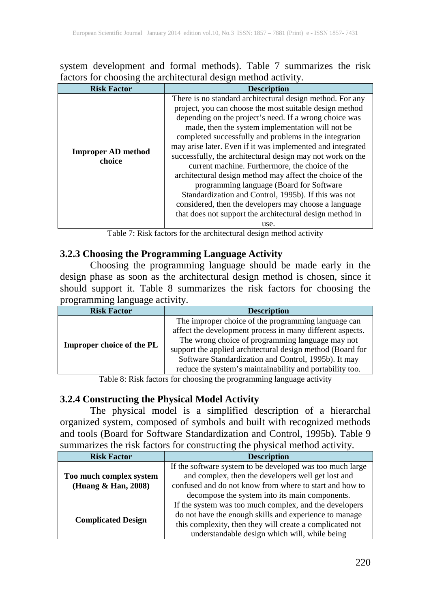system development and formal methods). Table 7 summarizes the risk factors for choosing the architectural design method activity.

| <b>Risk Factor</b>                  | <b>Description</b>                                                                                                                                                                                                                                                                                                                                                                                                                                                                                                                                                                                                                                                                                                                                                       |  |  |  |  |
|-------------------------------------|--------------------------------------------------------------------------------------------------------------------------------------------------------------------------------------------------------------------------------------------------------------------------------------------------------------------------------------------------------------------------------------------------------------------------------------------------------------------------------------------------------------------------------------------------------------------------------------------------------------------------------------------------------------------------------------------------------------------------------------------------------------------------|--|--|--|--|
| <b>Improper AD method</b><br>choice | There is no standard architectural design method. For any<br>project, you can choose the most suitable design method<br>depending on the project's need. If a wrong choice was<br>made, then the system implementation will not be<br>completed successfully and problems in the integration<br>may arise later. Even if it was implemented and integrated<br>successfully, the architectural design may not work on the<br>current machine. Furthermore, the choice of the<br>architectural design method may affect the choice of the<br>programming language (Board for Software<br>Standardization and Control, 1995b). If this was not<br>considered, then the developers may choose a language<br>that does not support the architectural design method in<br>use. |  |  |  |  |

Table 7: Risk factors for the architectural design method activity

## **3.2.3 Choosing the Programming Language Activity**

Choosing the programming language should be made early in the design phase as soon as the architectural design method is chosen, since it should support it. Table 8 summarizes the risk factors for choosing the programming language activity.

| <b>Risk Factor</b>               | <b>Description</b>                                                                                                                                                                                                                                                                                                                                     |  |  |  |  |
|----------------------------------|--------------------------------------------------------------------------------------------------------------------------------------------------------------------------------------------------------------------------------------------------------------------------------------------------------------------------------------------------------|--|--|--|--|
| <b>Improper choice of the PL</b> | The improper choice of the programming language can<br>affect the development process in many different aspects.<br>The wrong choice of programming language may not<br>support the applied architectural design method (Board for<br>Software Standardization and Control, 1995b). It may<br>reduce the system's maintainability and portability too. |  |  |  |  |

Table 8: Risk factors for choosing the programming language activity

# **3.2.4 Constructing the Physical Model Activity**

The physical model is a simplified description of a hierarchal organized system, composed of symbols and built with recognized methods and tools (Board for Software Standardization and Control, 1995b). Table 9 summarizes the risk factors for constructing the physical method activity.

| <b>Risk Factor</b>        | <b>Description</b>                                        |  |  |  |  |  |
|---------------------------|-----------------------------------------------------------|--|--|--|--|--|
|                           | If the software system to be developed was too much large |  |  |  |  |  |
| Too much complex system   | and complex, then the developers well get lost and        |  |  |  |  |  |
| (Huang & Han, 2008)       | confused and do not know from where to start and how to   |  |  |  |  |  |
|                           | decompose the system into its main components.            |  |  |  |  |  |
|                           | If the system was too much complex, and the developers    |  |  |  |  |  |
|                           | do not have the enough skills and experience to manage    |  |  |  |  |  |
| <b>Complicated Design</b> | this complexity, then they will create a complicated not  |  |  |  |  |  |
|                           | understandable design which will, while being             |  |  |  |  |  |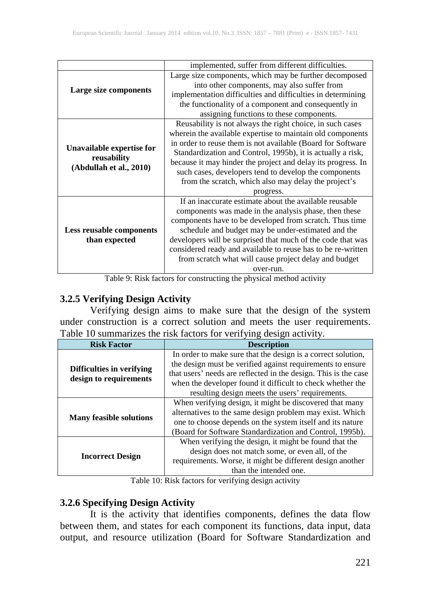|                                          | implemented, suffer from different difficulties.             |  |  |  |  |  |  |
|------------------------------------------|--------------------------------------------------------------|--|--|--|--|--|--|
|                                          | Large size components, which may be further decomposed       |  |  |  |  |  |  |
|                                          | into other components, may also suffer from                  |  |  |  |  |  |  |
| Large size components                    | implementation difficulties and difficulties in determining  |  |  |  |  |  |  |
|                                          | the functionality of a component and consequently in         |  |  |  |  |  |  |
|                                          | assigning functions to these components.                     |  |  |  |  |  |  |
|                                          | Reusability is not always the right choice, in such cases    |  |  |  |  |  |  |
|                                          | wherein the available expertise to maintain old components   |  |  |  |  |  |  |
|                                          | in order to reuse them is not available (Board for Software  |  |  |  |  |  |  |
| Unavailable expertise for<br>reusability | Standardization and Control, 1995b), it is actually a risk,  |  |  |  |  |  |  |
|                                          | because it may hinder the project and delay its progress. In |  |  |  |  |  |  |
| (Abdullah et al., 2010)                  | such cases, developers tend to develop the components        |  |  |  |  |  |  |
|                                          | from the scratch, which also may delay the project's         |  |  |  |  |  |  |
|                                          | progress.                                                    |  |  |  |  |  |  |
|                                          | If an inaccurate estimate about the available reusable       |  |  |  |  |  |  |
|                                          | components was made in the analysis phase, then these        |  |  |  |  |  |  |
|                                          | components have to be developed from scratch. Thus time      |  |  |  |  |  |  |
| <b>Less reusable components</b>          | schedule and budget may be under-estimated and the           |  |  |  |  |  |  |
| than expected                            | developers will be surprised that much of the code that was  |  |  |  |  |  |  |
|                                          | considered ready and available to reuse has to be re-written |  |  |  |  |  |  |
|                                          | from scratch what will cause project delay and budget        |  |  |  |  |  |  |
|                                          | over-run.                                                    |  |  |  |  |  |  |

Table 9: Risk factors for constructing the physical method activity

# **3.2.5 Verifying Design Activity**

Verifying design aims to make sure that the design of the system under construction is a correct solution and meets the user requirements. Table 10 summarizes the risk factors for verifying design activity.

| <b>Risk Factor</b>                                  | <b>Description</b>                                              |  |  |  |  |
|-----------------------------------------------------|-----------------------------------------------------------------|--|--|--|--|
|                                                     | In order to make sure that the design is a correct solution,    |  |  |  |  |
|                                                     | the design must be verified against requirements to ensure      |  |  |  |  |
| Difficulties in verifying<br>design to requirements | that users' needs are reflected in the design. This is the case |  |  |  |  |
|                                                     | when the developer found it difficult to check whether the      |  |  |  |  |
|                                                     | resulting design meets the users' requirements.                 |  |  |  |  |
|                                                     | When verifying design, it might be discovered that many         |  |  |  |  |
|                                                     | alternatives to the same design problem may exist. Which        |  |  |  |  |
| <b>Many feasible solutions</b>                      | one to choose depends on the system itself and its nature       |  |  |  |  |
|                                                     | (Board for Software Standardization and Control, 1995b).        |  |  |  |  |
|                                                     | When verifying the design, it might be found that the           |  |  |  |  |
|                                                     | design does not match some, or even all, of the                 |  |  |  |  |
| <b>Incorrect Design</b>                             | requirements. Worse, it might be different design another       |  |  |  |  |
|                                                     | than the intended one.                                          |  |  |  |  |

Table 10: Risk factors for verifying design activity

## **3.2.6 Specifying Design Activity**

It is the activity that identifies components, defines the data flow between them, and states for each component its functions, data input, data output, and resource utilization (Board for Software Standardization and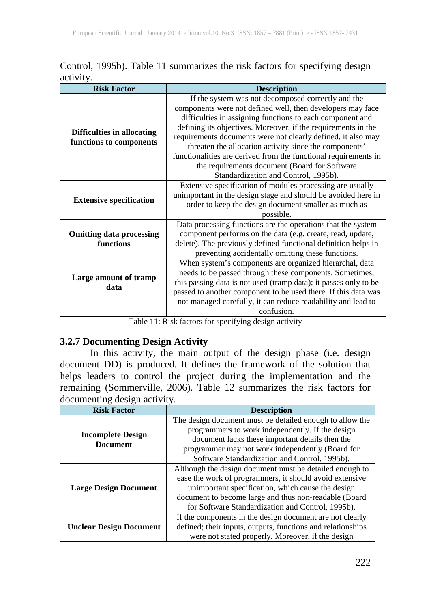|           |  | Control, 1995b). Table 11 summarizes the risk factors for specifying design |  |  |  |
|-----------|--|-----------------------------------------------------------------------------|--|--|--|
| activity. |  |                                                                             |  |  |  |

| <b>Risk Factor</b>                                           | <b>Description</b>                                                                                                                                                                                                                                                                                                                                                                                                                                                                                                                   |
|--------------------------------------------------------------|--------------------------------------------------------------------------------------------------------------------------------------------------------------------------------------------------------------------------------------------------------------------------------------------------------------------------------------------------------------------------------------------------------------------------------------------------------------------------------------------------------------------------------------|
| <b>Difficulties in allocating</b><br>functions to components | If the system was not decomposed correctly and the<br>components were not defined well, then developers may face<br>difficulties in assigning functions to each component and<br>defining its objectives. Moreover, if the requirements in the<br>requirements documents were not clearly defined, it also may<br>threaten the allocation activity since the components'<br>functionalities are derived from the functional requirements in<br>the requirements document (Board for Software<br>Standardization and Control, 1995b). |
| <b>Extensive specification</b>                               | Extensive specification of modules processing are usually<br>unimportant in the design stage and should be avoided here in<br>order to keep the design document smaller as much as<br>possible.                                                                                                                                                                                                                                                                                                                                      |
| <b>Omitting data processing</b><br>functions                 | Data processing functions are the operations that the system<br>component performs on the data (e.g. create, read, update,<br>delete). The previously defined functional definition helps in<br>preventing accidentally omitting these functions.                                                                                                                                                                                                                                                                                    |
| Large amount of tramp<br>data                                | When system's components are organized hierarchal, data<br>needs to be passed through these components. Sometimes,<br>this passing data is not used (tramp data); it passes only to be<br>passed to another component to be used there. If this data was<br>not managed carefully, it can reduce readability and lead to<br>confusion.                                                                                                                                                                                               |

Table 11: Risk factors for specifying design activity

## **3.2.7 Documenting Design Activity**

In this activity, the main output of the design phase (i.e. design document DD) is produced. It defines the framework of the solution that helps leaders to control the project during the implementation and the remaining (Sommerville, 2006). Table 12 summarizes the risk factors for documenting design activity

| <b>Risk Factor</b>                          | <b>Description</b>                                          |
|---------------------------------------------|-------------------------------------------------------------|
|                                             | The design document must be detailed enough to allow the    |
|                                             | programmers to work independently. If the design            |
| <b>Incomplete Design</b><br><b>Document</b> | document lacks these important details then the             |
|                                             | programmer may not work independently (Board for            |
|                                             | Software Standardization and Control, 1995b).               |
| <b>Large Design Document</b>                | Although the design document must be detailed enough to     |
|                                             | ease the work of programmers, it should avoid extensive     |
|                                             | unimportant specification, which cause the design           |
|                                             | document to become large and thus non-readable (Board       |
|                                             | for Software Standardization and Control, 1995b).           |
| <b>Unclear Design Document</b>              | If the components in the design document are not clearly    |
|                                             | defined; their inputs, outputs, functions and relationships |
|                                             | were not stated properly. Moreover, if the design           |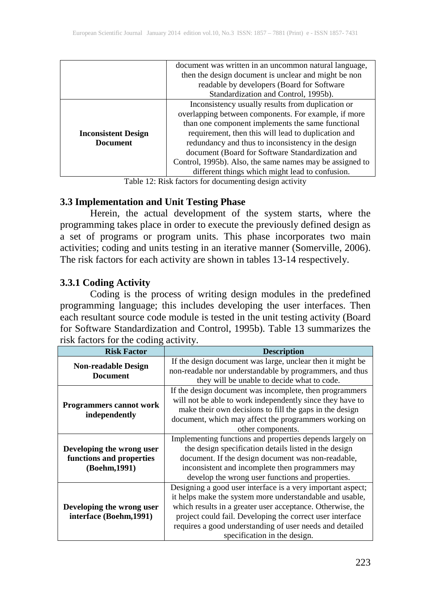|                            | document was written in an uncommon natural language,    |
|----------------------------|----------------------------------------------------------|
|                            | then the design document is unclear and might be non     |
|                            | readable by developers (Board for Software               |
|                            | Standardization and Control, 1995b).                     |
|                            | Inconsistency usually results from duplication or        |
|                            | overlapping between components. For example, if more     |
|                            | than one component implements the same functional        |
| <b>Inconsistent Design</b> | requirement, then this will lead to duplication and      |
| <b>Document</b>            | redundancy and thus to inconsistency in the design       |
|                            | document (Board for Software Standardization and         |
|                            | Control, 1995b). Also, the same names may be assigned to |
|                            | different things which might lead to confusion.          |

Table 12: Risk factors for documenting design activity

#### **3.3 Implementation and Unit Testing Phase**

Herein, the actual development of the system starts, where the programming takes place in order to execute the previously defined design as a set of programs or program units. This phase incorporates two main activities; coding and units testing in an iterative manner (Somerville, 2006). The risk factors for each activity are shown in tables 13-14 respectively.

## **3.3.1 Coding Activity**

Coding is the process of writing design modules in the predefined programming language; this includes developing the user interfaces. Then each resultant source code module is tested in the unit testing activity (Board for Software Standardization and Control, 1995b). Table 13 summarizes the risk factors for the coding activity.

| <b>Risk Factor</b>                            | <b>Description</b>                                          |
|-----------------------------------------------|-------------------------------------------------------------|
|                                               | If the design document was large, unclear then it might be  |
| <b>Non-readable Design</b><br><b>Document</b> | non-readable nor understandable by programmers, and thus    |
|                                               | they will be unable to decide what to code.                 |
|                                               | If the design document was incomplete, then programmers     |
| <b>Programmers cannot work</b>                | will not be able to work independently since they have to   |
|                                               | make their own decisions to fill the gaps in the design     |
| independently                                 | document, which may affect the programmers working on       |
|                                               | other components.                                           |
|                                               | Implementing functions and properties depends largely on    |
| Developing the wrong user                     | the design specification details listed in the design       |
| functions and properties                      | document. If the design document was non-readable,          |
| (Boehm, 1991)                                 | inconsistent and incomplete then programmers may            |
|                                               | develop the wrong user functions and properties.            |
|                                               | Designing a good user interface is a very important aspect; |
|                                               | it helps make the system more understandable and usable,    |
| Developing the wrong user                     | which results in a greater user acceptance. Otherwise, the  |
| interface (Boehm, 1991)                       | project could fail. Developing the correct user interface   |
|                                               | requires a good understanding of user needs and detailed    |
|                                               | specification in the design.                                |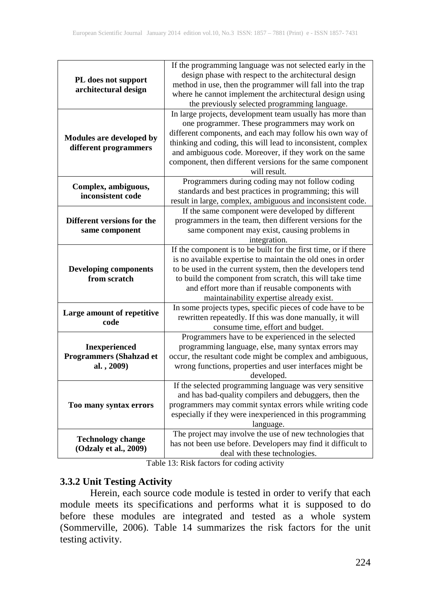|                                              | If the programming language was not selected early in the       |
|----------------------------------------------|-----------------------------------------------------------------|
| PL does not support<br>architectural design  | design phase with respect to the architectural design           |
|                                              | method in use, then the programmer will fall into the trap      |
|                                              | where he cannot implement the architectural design using        |
|                                              | the previously selected programming language.                   |
|                                              | In large projects, development team usually has more than       |
|                                              | one programmer. These programmers may work on                   |
|                                              | different components, and each may follow his own way of        |
| Modules are developed by                     | thinking and coding, this will lead to inconsistent, complex    |
| different programmers                        | and ambiguous code. Moreover, if they work on the same          |
|                                              | component, then different versions for the same component       |
|                                              | will result.                                                    |
|                                              | Programmers during coding may not follow coding                 |
| Complex, ambiguous,                          |                                                                 |
| inconsistent code                            | standards and best practices in programming; this will          |
|                                              | result in large, complex, ambiguous and inconsistent code.      |
|                                              | If the same component were developed by different               |
| Different versions for the                   | programmers in the team, then different versions for the        |
| same component                               | same component may exist, causing problems in                   |
|                                              | integration.                                                    |
|                                              | If the component is to be built for the first time, or if there |
| <b>Developing components</b><br>from scratch | is no available expertise to maintain the old ones in order     |
|                                              | to be used in the current system, then the developers tend      |
|                                              | to build the component from scratch, this will take time        |
|                                              | and effort more than if reusable components with                |
|                                              | maintainability expertise already exist.                        |
| Large amount of repetitive                   | In some projects types, specific pieces of code have to be      |
| code                                         | rewritten repeatedly. If this was done manually, it will        |
|                                              | consume time, effort and budget.                                |
|                                              | Programmers have to be experienced in the selected              |
| <b>Inexperienced</b>                         | programming language, else, many syntax errors may              |
| <b>Programmers (Shahzad et</b>               | occur, the resultant code might be complex and ambiguous,       |
| al., 2009)                                   | wrong functions, properties and user interfaces might be        |
|                                              | developed.                                                      |
|                                              | If the selected programming language was very sensitive         |
| Too many syntax errors                       | and has bad-quality compilers and debuggers, then the           |
|                                              | programmers may commit syntax errors while writing code         |
|                                              | especially if they were inexperienced in this programming       |
|                                              | language.                                                       |
|                                              | The project may involve the use of new technologies that        |
| <b>Technology change</b>                     | has not been use before. Developers may find it difficult to    |
| (Odzaly et al., 2009)                        | deal with these technologies.                                   |

Table 13: Risk factors for coding activity

## **3.3.2 Unit Testing Activity**

Herein, each source code module is tested in order to verify that each module meets its specifications and performs what it is supposed to do before these modules are integrated and tested as a whole system (Sommerville, 2006). Table 14 summarizes the risk factors for the unit testing activity.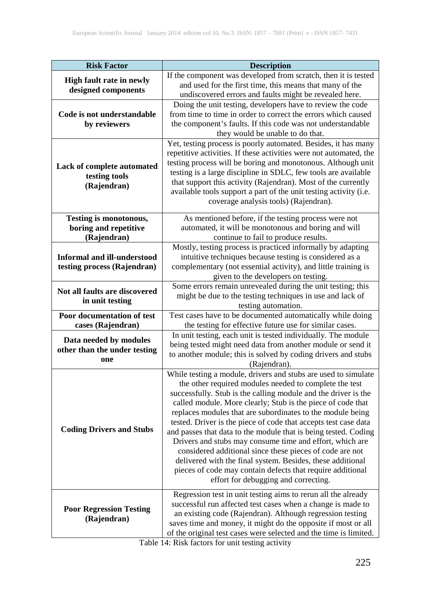| <b>Risk Factor</b>                              | <b>Description</b>                                                                                                                   |
|-------------------------------------------------|--------------------------------------------------------------------------------------------------------------------------------------|
| High fault rate in newly<br>designed components | If the component was developed from scratch, then it is tested                                                                       |
|                                                 | and used for the first time, this means that many of the                                                                             |
|                                                 | undiscovered errors and faults might be revealed here.                                                                               |
|                                                 | Doing the unit testing, developers have to review the code                                                                           |
| Code is not understandable                      | from time to time in order to correct the errors which caused                                                                        |
| by reviewers                                    | the component's faults. If this code was not understandable                                                                          |
|                                                 | they would be unable to do that.                                                                                                     |
|                                                 | Yet, testing process is poorly automated. Besides, it has many<br>repetitive activities. If these activities were not automated, the |
| Lack of complete automated                      | testing process will be boring and monotonous. Although unit                                                                         |
| testing tools                                   | testing is a large discipline in SDLC, few tools are available                                                                       |
| (Rajendran)                                     | that support this activity (Rajendran). Most of the currently                                                                        |
|                                                 | available tools support a part of the unit testing activity (i.e.                                                                    |
|                                                 | coverage analysis tools) (Rajendran).                                                                                                |
| Testing is monotonous,                          | As mentioned before, if the testing process were not                                                                                 |
| boring and repetitive                           | automated, it will be monotonous and boring and will                                                                                 |
| (Rajendran)                                     | continue to fail to produce results.                                                                                                 |
|                                                 | Mostly, testing process is practiced informally by adapting                                                                          |
| <b>Informal and ill-understood</b>              | intuitive techniques because testing is considered as a                                                                              |
| testing process (Rajendran)                     | complementary (not essential activity), and little training is                                                                       |
|                                                 | given to the developers on testing.                                                                                                  |
| Not all faults are discovered                   | Some errors remain unrevealed during the unit testing; this                                                                          |
| in unit testing                                 | might be due to the testing techniques in use and lack of                                                                            |
|                                                 | testing automation.                                                                                                                  |
| Poor documentation of test                      | Test cases have to be documented automatically while doing                                                                           |
| cases (Rajendran)                               | the testing for effective future use for similar cases.                                                                              |
| Data needed by modules                          | In unit testing, each unit is tested individually. The module                                                                        |
| other than the under testing                    | being tested might need data from another module or send it                                                                          |
| one                                             | to another module; this is solved by coding drivers and stubs                                                                        |
|                                                 | (Rajendran).                                                                                                                         |
|                                                 | While testing a module, drivers and stubs are used to simulate<br>the other required modules needed to complete the test             |
|                                                 | successfully. Stub is the calling module and the driver is the                                                                       |
|                                                 | called module. More clearly; Stub is the piece of code that                                                                          |
|                                                 | replaces modules that are subordinates to the module being                                                                           |
|                                                 | tested. Driver is the piece of code that accepts test case data                                                                      |
| <b>Coding Drivers and Stubs</b>                 | and passes that data to the module that is being tested. Coding                                                                      |
|                                                 | Drivers and stubs may consume time and effort, which are                                                                             |
|                                                 | considered additional since these pieces of code are not                                                                             |
|                                                 | delivered with the final system. Besides, these additional                                                                           |
|                                                 | pieces of code may contain defects that require additional                                                                           |
|                                                 | effort for debugging and correcting.                                                                                                 |
|                                                 | Regression test in unit testing aims to rerun all the already                                                                        |
|                                                 | successful run affected test cases when a change is made to                                                                          |
| <b>Poor Regression Testing</b>                  | an existing code (Rajendran). Although regression testing                                                                            |
| (Rajendran)                                     | saves time and money, it might do the opposite if most or all                                                                        |
|                                                 | of the original test cases were selected and the time is limited.                                                                    |

Table 14: Risk factors for unit testing activity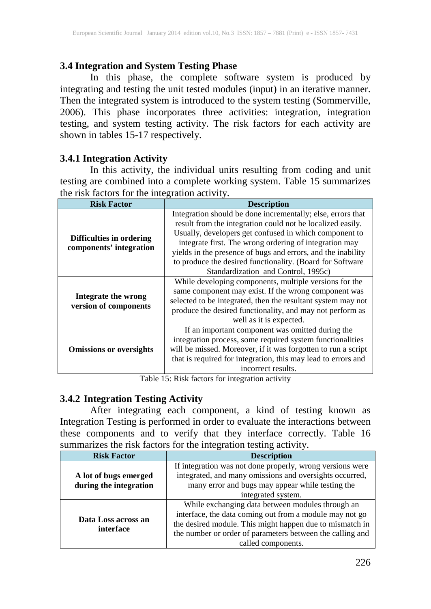# **3.4 Integration and System Testing Phase**

In this phase, the complete software system is produced by integrating and testing the unit tested modules (input) in an iterative manner. Then the integrated system is introduced to the system testing (Sommerville, 2006). This phase incorporates three activities: integration, integration testing, and system testing activity. The risk factors for each activity are shown in tables 15-17 respectively.

## **3.4.1 Integration Activity**

In this activity, the individual units resulting from coding and unit testing are combined into a complete working system. Table 15 summarizes the risk factors for the integration activity.

| <b>Risk Factor</b>             | <b>Description</b>                                            |
|--------------------------------|---------------------------------------------------------------|
|                                | Integration should be done incrementally; else, errors that   |
|                                | result from the integration could not be localized easily.    |
| Difficulties in ordering       | Usually, developers get confused in which component to        |
| components' integration        | integrate first. The wrong ordering of integration may        |
|                                | yields in the presence of bugs and errors, and the inability  |
|                                | to produce the desired functionality. (Board for Software     |
|                                | Standardization and Control, 1995c)                           |
| Integrate the wrong            | While developing components, multiple versions for the        |
|                                | same component may exist. If the wrong component was          |
|                                | selected to be integrated, then the resultant system may not  |
| version of components          | produce the desired functionality, and may not perform as     |
|                                | well as it is expected.                                       |
| <b>Omissions or oversights</b> | If an important component was omitted during the              |
|                                | integration process, some required system functionalities     |
|                                | will be missed. Moreover, if it was forgotten to run a script |
|                                | that is required for integration, this may lead to errors and |
|                                | incorrect results.                                            |

Table 15: Risk factors for integration activity

# **3.4.2 Integration Testing Activity**

After integrating each component, a kind of testing known as Integration Testing is performed in order to evaluate the interactions between these components and to verify that they interface correctly. Table 16 summarizes the risk factors for the integration testing activity.

| <b>Risk Factor</b>     | <b>Description</b>                                        |
|------------------------|-----------------------------------------------------------|
|                        | If integration was not done properly, wrong versions were |
| A lot of bugs emerged  | integrated, and many omissions and oversights occurred,   |
| during the integration | many error and bugs may appear while testing the          |
|                        | integrated system.                                        |
|                        | While exchanging data between modules through an          |
| Data Loss across an    | interface, the data coming out from a module may not go   |
| interface              | the desired module. This might happen due to mismatch in  |
|                        | the number or order of parameters between the calling and |
|                        | called components.                                        |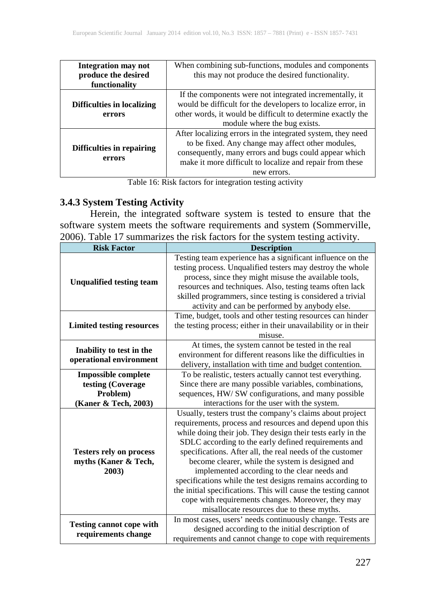| Integration may not        | When combining sub-functions, modules and components        |
|----------------------------|-------------------------------------------------------------|
| produce the desired        | this may not produce the desired functionality.             |
| functionality              |                                                             |
|                            | If the components were not integrated incrementally, it     |
| Difficulties in localizing | would be difficult for the developers to localize error, in |
| errors                     | other words, it would be difficult to determine exactly the |
|                            | module where the bug exists.                                |
|                            | After localizing errors in the integrated system, they need |
|                            | to be fixed. Any change may affect other modules,           |
| Difficulties in repairing  | consequently, many errors and bugs could appear which       |
| errors                     | make it more difficult to localize and repair from these    |
|                            | new errors.                                                 |

Table 16: Risk factors for integration testing activity

## **3.4.3 System Testing Activity**

Herein, the integrated software system is tested to ensure that the software system meets the software requirements and system (Sommerville, 2006). Table 17 summarizes the risk factors for the system testing activity.

| <b>Risk Factor</b>                                                                  | <b>Description</b>                                                                                                                                                                                                                                                                                                                                                                                                                                                                                                                                                                                                                               |
|-------------------------------------------------------------------------------------|--------------------------------------------------------------------------------------------------------------------------------------------------------------------------------------------------------------------------------------------------------------------------------------------------------------------------------------------------------------------------------------------------------------------------------------------------------------------------------------------------------------------------------------------------------------------------------------------------------------------------------------------------|
| <b>Unqualified testing team</b>                                                     | Testing team experience has a significant influence on the<br>testing process. Unqualified testers may destroy the whole<br>process, since they might misuse the available tools,<br>resources and techniques. Also, testing teams often lack<br>skilled programmers, since testing is considered a trivial<br>activity and can be performed by anybody else.                                                                                                                                                                                                                                                                                    |
| <b>Limited testing resources</b>                                                    | Time, budget, tools and other testing resources can hinder<br>the testing process; either in their unavailability or in their<br>misuse.                                                                                                                                                                                                                                                                                                                                                                                                                                                                                                         |
| Inability to test in the<br>operational environment                                 | At times, the system cannot be tested in the real<br>environment for different reasons like the difficulties in<br>delivery, installation with time and budget contention.                                                                                                                                                                                                                                                                                                                                                                                                                                                                       |
| <b>Impossible complete</b><br>testing (Coverage<br>Problem)<br>(Kaner & Tech, 2003) | To be realistic, testers actually cannot test everything.<br>Since there are many possible variables, combinations,<br>sequences, HW/ SW configurations, and many possible<br>interactions for the user with the system.                                                                                                                                                                                                                                                                                                                                                                                                                         |
| <b>Testers rely on process</b><br>myths (Kaner & Tech,<br>2003)                     | Usually, testers trust the company's claims about project<br>requirements, process and resources and depend upon this<br>while doing their job. They design their tests early in the<br>SDLC according to the early defined requirements and<br>specifications. After all, the real needs of the customer<br>become clearer, while the system is designed and<br>implemented according to the clear needs and<br>specifications while the test designs remains according to<br>the initial specifications. This will cause the testing cannot<br>cope with requirements changes. Moreover, they may<br>misallocate resources due to these myths. |
| <b>Testing cannot cope with</b><br>requirements change                              | In most cases, users' needs continuously change. Tests are<br>designed according to the initial description of<br>requirements and cannot change to cope with requirements                                                                                                                                                                                                                                                                                                                                                                                                                                                                       |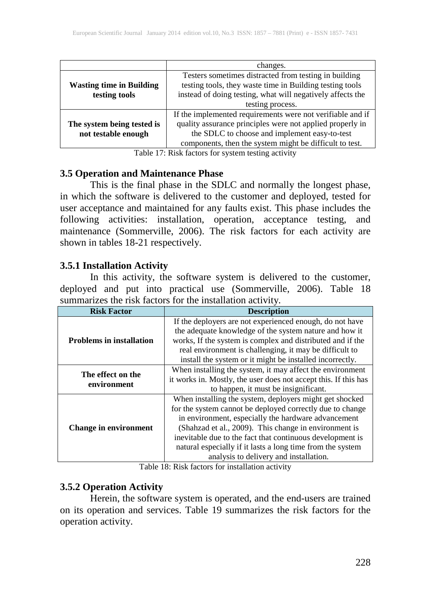|                                 | changes.                                                   |
|---------------------------------|------------------------------------------------------------|
|                                 | Testers sometimes distracted from testing in building      |
| <b>Wasting time in Building</b> | testing tools, they waste time in Building testing tools   |
| testing tools                   | instead of doing testing, what will negatively affects the |
|                                 | testing process.                                           |
|                                 | If the implemented requirements were not verifiable and if |
| The system being tested is      | quality assurance principles were not applied properly in  |
| not testable enough             | the SDLC to choose and implement easy-to-test              |
|                                 | components, then the system might be difficult to test.    |

Table 17: Risk factors for system testing activity

#### **3.5 Operation and Maintenance Phase**

This is the final phase in the SDLC and normally the longest phase, in which the software is delivered to the customer and deployed, tested for user acceptance and maintained for any faults exist. This phase includes the following activities: installation, operation, acceptance testing, and maintenance (Sommerville, 2006). The risk factors for each activity are shown in tables 18-21 respectively.

#### **3.5.1 Installation Activity**

In this activity, the software system is delivered to the customer, deployed and put into practical use (Sommerville, 2006). Table 18 summarizes the risk factors for the installation activity.

| <b>Risk Factor</b>              | <b>Description</b>                                                                                                 |
|---------------------------------|--------------------------------------------------------------------------------------------------------------------|
|                                 | If the deployers are not experienced enough, do not have<br>the adequate knowledge of the system nature and how it |
| <b>Problems in installation</b> | works, If the system is complex and distributed and if the                                                         |
|                                 | real environment is challenging, it may be difficult to                                                            |
|                                 | install the system or it might be installed incorrectly.                                                           |
| The effect on the               | When installing the system, it may affect the environment                                                          |
| environment                     | it works in. Mostly, the user does not accept this. If this has                                                    |
|                                 | to happen, it must be insignificant.                                                                               |
| <b>Change in environment</b>    | When installing the system, deployers might get shocked                                                            |
|                                 | for the system cannot be deployed correctly due to change                                                          |
|                                 | in environment, especially the hardware advancement                                                                |
|                                 | (Shahzad et al., 2009). This change in environment is                                                              |
|                                 | inevitable due to the fact that continuous development is                                                          |
|                                 | natural especially if it lasts a long time from the system                                                         |
|                                 | analysis to delivery and installation.                                                                             |

Table 18: Risk factors for installation activity

## **3.5.2 Operation Activity**

Herein, the software system is operated, and the end-users are trained on its operation and services. Table 19 summarizes the risk factors for the operation activity.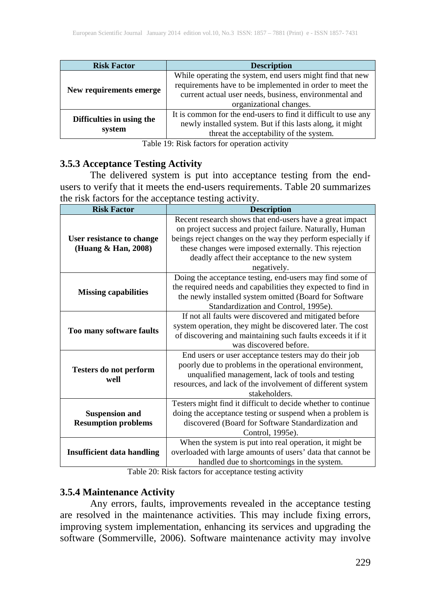| <b>Risk Factor</b>                  | <b>Description</b>                                                                                                                                                                                         |
|-------------------------------------|------------------------------------------------------------------------------------------------------------------------------------------------------------------------------------------------------------|
| New requirements emerge.            | While operating the system, end users might find that new<br>requirements have to be implemented in order to meet the<br>current actual user needs, business, environmental and<br>organizational changes. |
| Difficulties in using the<br>system | It is common for the end-users to find it difficult to use any<br>newly installed system. But if this lasts along, it might<br>threat the acceptability of the system.                                     |

Table 19: Risk factors for operation activity

#### **3.5.3 Acceptance Testing Activity**

The delivered system is put into acceptance testing from the endusers to verify that it meets the end-users requirements. Table 20 summarizes the risk factors for the acceptance testing activity.

| <b>Risk Factor</b>                                  | <b>Description</b>                                                                                                                                                                                                                                                                                              |
|-----------------------------------------------------|-----------------------------------------------------------------------------------------------------------------------------------------------------------------------------------------------------------------------------------------------------------------------------------------------------------------|
| User resistance to change<br>(Huang & Han, 2008)    | Recent research shows that end-users have a great impact<br>on project success and project failure. Naturally, Human<br>beings reject changes on the way they perform especially if<br>these changes were imposed externally. This rejection<br>deadly affect their acceptance to the new system<br>negatively. |
| <b>Missing capabilities</b>                         | Doing the acceptance testing, end-users may find some of<br>the required needs and capabilities they expected to find in<br>the newly installed system omitted (Board for Software<br>Standardization and Control, 1995e).                                                                                      |
| Too many software faults                            | If not all faults were discovered and mitigated before<br>system operation, they might be discovered later. The cost<br>of discovering and maintaining such faults exceeds it if it<br>was discovered before.                                                                                                   |
| Testers do not perform<br>well                      | End users or user acceptance testers may do their job<br>poorly due to problems in the operational environment,<br>unqualified management, lack of tools and testing<br>resources, and lack of the involvement of different system<br>stakeholders.                                                             |
| <b>Suspension and</b><br><b>Resumption problems</b> | Testers might find it difficult to decide whether to continue<br>doing the acceptance testing or suspend when a problem is<br>discovered (Board for Software Standardization and<br>Control, 1995e).                                                                                                            |
| <b>Insufficient data handling</b>                   | When the system is put into real operation, it might be<br>overloaded with large amounts of users' data that cannot be<br>handled due to shortcomings in the system.                                                                                                                                            |

Table 20: Risk factors for acceptance testing activity

#### **3.5.4 Maintenance Activity**

Any errors, faults, improvements revealed in the acceptance testing are resolved in the maintenance activities. This may include fixing errors, improving system implementation, enhancing its services and upgrading the software (Sommerville, 2006). Software maintenance activity may involve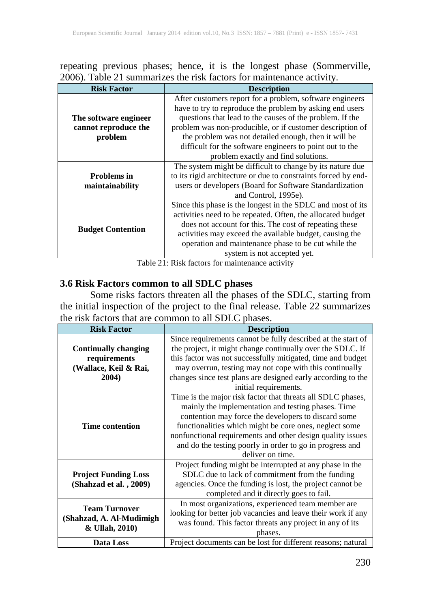repeating previous phases; hence, it is the longest phase (Sommerville, 2006). Table 21 summarizes the risk factors for maintenance activity.

| <b>Risk Factor</b>                                       | <b>Description</b>                                                                                                                                                                                                                                                                                                                                                                                       |
|----------------------------------------------------------|----------------------------------------------------------------------------------------------------------------------------------------------------------------------------------------------------------------------------------------------------------------------------------------------------------------------------------------------------------------------------------------------------------|
| The software engineer<br>cannot reproduce the<br>problem | After customers report for a problem, software engineers<br>have to try to reproduce the problem by asking end users<br>questions that lead to the causes of the problem. If the<br>problem was non-producible, or if customer description of<br>the problem was not detailed enough, then it will be<br>difficult for the software engineers to point out to the<br>problem exactly and find solutions. |
| <b>Problems</b> in<br>maintainability                    | The system might be difficult to change by its nature due<br>to its rigid architecture or due to constraints forced by end-<br>users or developers (Board for Software Standardization<br>and Control, 1995e).                                                                                                                                                                                           |
| <b>Budget Contention</b>                                 | Since this phase is the longest in the SDLC and most of its<br>activities need to be repeated. Often, the allocated budget<br>does not account for this. The cost of repeating these<br>activities may exceed the available budget, causing the<br>operation and maintenance phase to be cut while the<br>system is not accepted yet.                                                                    |

Table 21: Risk factors for maintenance activity

#### **3.6 Risk Factors common to all SDLC phases**

Some risks factors threaten all the phases of the SDLC, starting from the initial inspection of the project to the final release. Table 22 summarizes the risk factors that are common to all SDLC phases.

| <b>Risk Factor</b>          | <b>Description</b>                                           |
|-----------------------------|--------------------------------------------------------------|
|                             | Since requirements cannot be fully described at the start of |
| <b>Continually changing</b> | the project, it might change continually over the SDLC. If   |
| requirements                | this factor was not successfully mitigated, time and budget  |
| (Wallace, Keil & Rai,       | may overrun, testing may not cope with this continually      |
| 2004)                       | changes since test plans are designed early according to the |
|                             | initial requirements.                                        |
|                             | Time is the major risk factor that threats all SDLC phases,  |
|                             | mainly the implementation and testing phases. Time           |
|                             | contention may force the developers to discard some          |
| <b>Time contention</b>      | functionalities which might be core ones, neglect some       |
|                             | nonfunctional requirements and other design quality issues   |
|                             | and do the testing poorly in order to go in progress and     |
|                             | deliver on time.                                             |
|                             | Project funding might be interrupted at any phase in the     |
| <b>Project Funding Loss</b> | SDLC due to lack of commitment from the funding              |
| (Shahzad et al., 2009)      | agencies. Once the funding is lost, the project cannot be    |
|                             | completed and it directly goes to fail.                      |
| <b>Team Turnover</b>        | In most organizations, experienced team member are           |
|                             | looking for better job vacancies and leave their work if any |
| (Shahzad, A. Al-Mudimigh    | was found. This factor threats any project in any of its     |
| & Ullah, 2010)              | phases.                                                      |
| Data Loss                   | Project documents can be lost for different reasons; natural |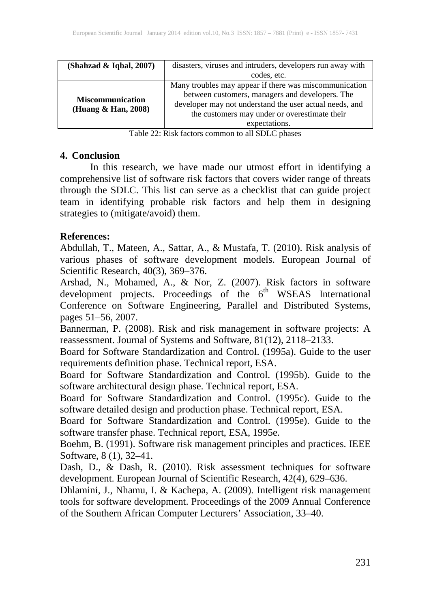| (Shahzad & Iqbal, 2007)                        | disasters, viruses and intruders, developers run away with                                                 |
|------------------------------------------------|------------------------------------------------------------------------------------------------------------|
|                                                | codes, etc.                                                                                                |
| <b>Miscommunication</b><br>(Huang & Han, 2008) | Many troubles may appear if there was miscommunication                                                     |
|                                                | between customers, managers and developers. The<br>developer may not understand the user actual needs, and |
|                                                | the customers may under or overestimate their                                                              |
|                                                | expectations.                                                                                              |

Table 22: Risk factors common to all SDLC phases

#### **4. Conclusion**

In this research, we have made our utmost effort in identifying a comprehensive list of software risk factors that covers wider range of threats through the SDLC. This list can serve as a checklist that can guide project team in identifying probable risk factors and help them in designing strategies to (mitigate/avoid) them.

## **References:**

Abdullah, T., Mateen, A., Sattar, A., & Mustafa, T. (2010). Risk analysis of various phases of software development models. European Journal of Scientific Research, 40(3), 369–376.

Arshad, N., Mohamed, A., & Nor, Z. (2007). Risk factors in software development projects. Proceedings of the 6<sup>th</sup> WSEAS International Conference on Software Engineering, Parallel and Distributed Systems, pages 51–56, 2007.

Bannerman, P. (2008). Risk and risk management in software projects: A reassessment. Journal of Systems and Software, 81(12), 2118–2133.

Board for Software Standardization and Control. (1995a). Guide to the user requirements definition phase. Technical report, ESA.

Board for Software Standardization and Control. (1995b). Guide to the software architectural design phase. Technical report, ESA.

Board for Software Standardization and Control. (1995c). Guide to the software detailed design and production phase. Technical report, ESA.

Board for Software Standardization and Control. (1995e). Guide to the software transfer phase. Technical report, ESA, 1995e.

Boehm, B. (1991). Software risk management principles and practices. IEEE Software, 8 (1), 32–41.

Dash, D., & Dash, R. (2010). Risk assessment techniques for software development. European Journal of Scientific Research, 42(4), 629–636.

Dhlamini, J., Nhamu, I. & Kachepa, A. (2009). Intelligent risk management tools for software development. Proceedings of the 2009 Annual Conference of the Southern African Computer Lecturers' Association, 33–40.